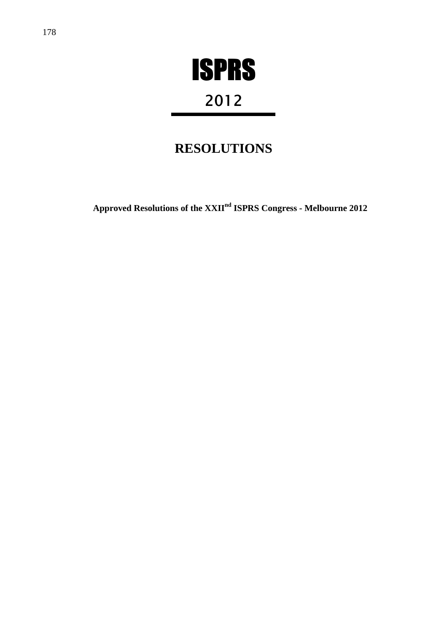

# 2012

## **RESOLUTIONS**

**Approved Resolutions of the XXIInd ISPRS Congress - Melbourne 2012**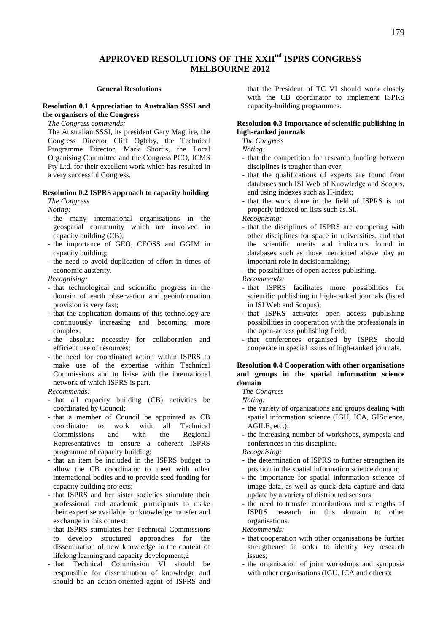## **APPROVED RESOLUTIONS OF THE XXIInd ISPRS CONGRESS MELBOURNE 2012**

#### **General Resolutions**

#### **Resolution 0.1 Appreciation to Australian SSSI and the organisers of the Congress**

*The Congress commends:* 

The Australian SSSI, its president Gary Maguire, the Congress Director Cliff Ogleby, the Technical Programme Director, Mark Shortis, the Local Organising Committee and the Congress PCO, ICMS Pty Ltd. for their excellent work which has resulted in a very successful Congress.

#### **Resolution 0.2 ISPRS approach to capacity building**

*The Congress* 

*Noting:* 

- the many international organisations in the geospatial community which are involved in capacity building (CB);
- the importance of GEO, CEOSS and GGIM in capacity building;
- the need to avoid duplication of effort in times of economic austerity.

*Recognising:* 

- that technological and scientific progress in the domain of earth observation and geoinformation provision is very fast;
- that the application domains of this technology are continuously increasing and becoming more complex;
- the absolute necessity for collaboration and efficient use of resources;
- the need for coordinated action within ISPRS to make use of the expertise within Technical Commissions and to liaise with the international network of which ISPRS is part.

#### *Recommends:*

- that all capacity building (CB) activities be coordinated by Council;
- that a member of Council be appointed as CB coordinator to work with all Technical Commissions and with the Regional Representatives to ensure a coherent ISPRS programme of capacity building;
- that an item be included in the ISPRS budget to allow the CB coordinator to meet with other international bodies and to provide seed funding for capacity building projects;
- that ISPRS and her sister societies stimulate their professional and academic participants to make their expertise available for knowledge transfer and exchange in this context;
- that ISPRS stimulates her Technical Commissions to develop structured approaches for the dissemination of new knowledge in the context of lifelong learning and capacity development;2
- that Technical Commission VI should be responsible for dissemination of knowledge and should be an action-oriented agent of ISPRS and

that the President of TC VI should work closely with the CB coordinator to implement ISPRS capacity-building programmes.

#### **Resolution 0.3 Importance of scientific publishing in high-ranked journals**

*The Congress* 

*Noting:* 

- that the competition for research funding between disciplines is tougher than ever;
- that the qualifications of experts are found from databases such ISI Web of Knowledge and Scopus, and using indexes such as H-index;
- that the work done in the field of ISPRS is not properly indexed on lists such asISI.

*Recognising:* 

- that the disciplines of ISPRS are competing with other disciplines for space in universities, and that the scientific merits and indicators found in databases such as those mentioned above play an important role in decisionmaking;

the possibilities of open-access publishing.

*Recommends:* 

- that ISPRS facilitates more possibilities for scientific publishing in high-ranked journals (listed in ISI Web and Scopus);
- that ISPRS activates open access publishing possibilities in cooperation with the professionals in the open-access publishing field;
- that conferences organised by ISPRS should cooperate in special issues of high-ranked journals.

#### **Resolution 0.4 Cooperation with other organisations and groups in the spatial information science domain**

*The Congress* 

*Noting:* 

- the variety of organisations and groups dealing with spatial information science (IGU, ICA, GIScience, AGILE, etc.);
- the increasing number of workshops, symposia and conferences in this discipline.

*Recognising:* 

- the determination of ISPRS to further strengthen its position in the spatial information science domain;
- the importance for spatial information science of image data, as well as quick data capture and data update by a variety of distributed sensors;
- the need to transfer contributions and strengths of ISPRS research in this domain to other organisations.

*Recommends:* 

- that cooperation with other organisations be further strengthened in order to identify key research issues;
- the organisation of joint workshops and symposia with other organisations (IGU, ICA and others);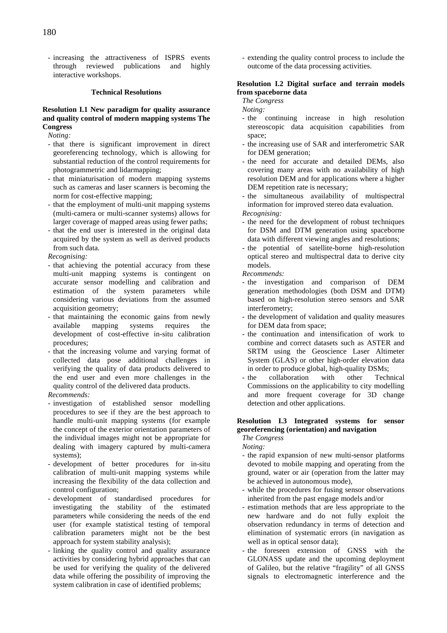- increasing the attractiveness of ISPRS events through reviewed publications and highly interactive workshops.

#### **Technical Resolutions**

#### **Resolution I.1 New paradigm for quality assurance and quality control of modern mapping systems The Congress**

*Noting:* 

- that there is significant improvement in direct georeferencing technology, which is allowing for substantial reduction of the control requirements for photogrammetric and lidarmapping;
- that miniaturisation of modern mapping systems such as cameras and laser scanners is becoming the norm for cost-effective mapping;
- that the employment of multi-unit mapping systems (multi-camera or multi-scanner systems) allows for larger coverage of mapped areas using fewer paths;
- that the end user is interested in the original data acquired by the system as well as derived products from such data.

*Recognising:* 

- that achieving the potential accuracy from these multi-unit mapping systems is contingent on accurate sensor modelling and calibration and estimation of the system parameters while considering various deviations from the assumed acquisition geometry;
- that maintaining the economic gains from newly available mapping systems requires the development of cost-effective in-situ calibration procedures;
- that the increasing volume and varying format of collected data pose additional challenges in verifying the quality of data products delivered to the end user and even more challenges in the quality control of the delivered data products.

*Recommends:* 

- investigation of established sensor modelling procedures to see if they are the best approach to handle multi-unit mapping systems (for example the concept of the exterior orientation parameters of the individual images might not be appropriate for dealing with imagery captured by multi-camera systems);
- development of better procedures for in-situ calibration of multi-unit mapping systems while increasing the flexibility of the data collection and control configuration;
- development of standardised procedures for investigating the stability of the estimated parameters while considering the needs of the end user (for example statistical testing of temporal calibration parameters might not be the best approach for system stability analysis);
- linking the quality control and quality assurance activities by considering hybrid approaches that can be used for verifying the quality of the delivered data while offering the possibility of improving the system calibration in case of identified problems;

- extending the quality control process to include the outcome of the data processing activities.

#### **Resolution I.2 Digital surface and terrain models from spaceborne data**

#### *The Congress*

*Noting:* 

- the continuing increase in high resolution stereoscopic data acquisition capabilities from space;
- the increasing use of SAR and interferometric SAR for DEM generation;
- the need for accurate and detailed DEMs, also covering many areas with no availability of high resolution DEM and for applications where a higher DEM repetition rate is necessary;
- the simultaneous availability of multispectral information for improved stereo data evaluation.

*Recognising:* 

- the need for the development of robust techniques for DSM and DTM generation using spaceborne data with different viewing angles and resolutions;
- the potential of satellite-borne high-resolution optical stereo and multispectral data to derive city models.

*Recommends:* 

- the investigation and comparison of DEM generation methodologies (both DSM and DTM) based on high-resolution stereo sensors and SAR interferometry;
- the development of validation and quality measures for DEM data from space;
- the continuation and intensification of work to combine and correct datasets such as ASTER and SRTM using the Geoscience Laser Altimeter System (GLAS) or other high-order elevation data in order to produce global, high-quality DSMs;
- the collaboration with other Technical Commissions on the applicability to city modelling and more frequent coverage for 3D change detection and other applications.

### **Resolution I.3 Integrated systems for sensor georeferencing (orientation) and navigation**

*The Congress Noting:* 

- the rapid expansion of new multi-sensor platforms devoted to mobile mapping and operating from the ground, water or air (operation from the latter may be achieved in autonomous mode),
- while the procedures for fusing sensor observations inherited from the past engage models and/or
- estimation methods that are less appropriate to the new hardware and do not fully exploit the observation redundancy in terms of detection and elimination of systematic errors (in navigation as well as in optical sensor data);
- the foreseen extension of GNSS with the GLONASS update and the upcoming deployment of Galileo, but the relative "fragility" of all GNSS signals to electromagnetic interference and the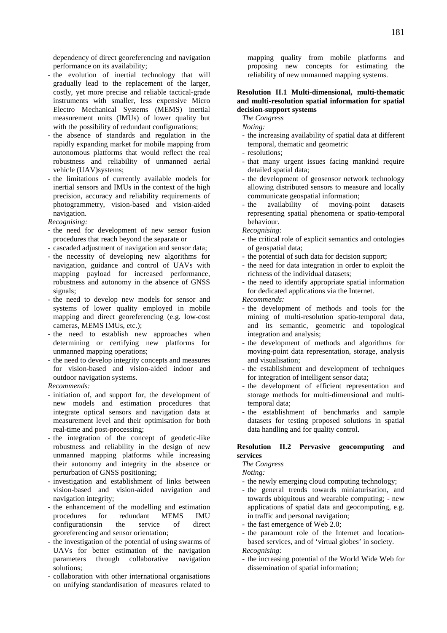dependency of direct georeferencing and navigation performance on its availability;

- the evolution of inertial technology that will gradually lead to the replacement of the larger, costly, yet more precise and reliable tactical-grade instruments with smaller, less expensive Micro Electro Mechanical Systems (MEMS) inertial measurement units (IMUs) of lower quality but with the possibility of redundant configurations;
- the absence of standards and regulation in the rapidly expanding market for mobile mapping from autonomous platforms that would reflect the real robustness and reliability of unmanned aerial vehicle (UAV)systems;
- the limitations of currently available models for inertial sensors and IMUs in the context of the high precision, accuracy and reliability requirements of photogrammetry, vision-based and vision-aided navigation.
- *Recognising:*
- the need for development of new sensor fusion procedures that reach beyond the separate or
- cascaded adjustment of navigation and sensor data;
- the necessity of developing new algorithms for navigation, guidance and control of UAVs with mapping payload for increased performance, robustness and autonomy in the absence of GNSS signals;
- the need to develop new models for sensor and systems of lower quality employed in mobile mapping and direct georeferencing (e.g. low-cost cameras, MEMS IMUs, etc.);
- the need to establish new approaches when determining or certifying new platforms for unmanned mapping operations;
- the need to develop integrity concepts and measures for vision-based and vision-aided indoor and outdoor navigation systems.

#### *Recommends:*

- initiation of, and support for, the development of new models and estimation procedures that integrate optical sensors and navigation data at measurement level and their optimisation for both real-time and post-processing;
- the integration of the concept of geodetic-like robustness and reliability in the design of new unmanned mapping platforms while increasing their autonomy and integrity in the absence or perturbation of GNSS positioning;
- investigation and establishment of links between vision-based and vision-aided navigation and navigation integrity;
- the enhancement of the modelling and estimation<br>procedures for redundant MEMS IMU procedures for redundant MEMS IMU<br>configurations in the service of direct configurationsin the service of direct georeferencing and sensor orientation;
- the investigation of the potential of using swarms of UAVs for better estimation of the navigation parameters through collaborative navigation solutions;
- collaboration with other international organisations on unifying standardisation of measures related to

mapping quality from mobile platforms and proposing new concepts for estimating the reliability of new unmanned mapping systems.

#### **Resolution II.1 Multi-dimensional, multi-thematic and multi-resolution spatial information for spatial decision-support systems**

*The Congress Noting:* 

- the increasing availability of spatial data at different temporal, thematic and geometric
- resolutions;
- that many urgent issues facing mankind require detailed spatial data;
- the development of geosensor network technology allowing distributed sensors to measure and locally communicate geospatial information;
- the availability of moving-point datasets representing spatial phenomena or spatio-temporal behaviour.

*Recognising:* 

- the critical role of explicit semantics and ontologies of geospatial data;
- the potential of such data for decision support;
- the need for data integration in order to exploit the richness of the individual datasets;
- the need to identify appropriate spatial information for dedicated applications via the Internet.

*Recommends:* 

- the development of methods and tools for the mining of multi-resolution spatio-temporal data, and its semantic, geometric and topological integration and analysis;
- the development of methods and algorithms for moving-point data representation, storage, analysis and visualisation;
- the establishment and development of techniques for integration of intelligent sensor data;
- the development of efficient representation and storage methods for multi-dimensional and multitemporal data;
- the establishment of benchmarks and sample datasets for testing proposed solutions in spatial data handling and for quality control.

#### **Resolution II.2 Pervasive geocomputing and services**

*The Congress* 

*Noting:* 

- the newly emerging cloud computing technology;
- the general trends towards miniaturisation, and towards ubiquitous and wearable computing; - new applications of spatial data and geocomputing, e.g. in traffic and personal navigation;
- the fast emergence of Web 2.0;
- the paramount role of the Internet and locationbased services, and of 'virtual globes' in society. *Recognising:*
- the increasing potential of the World Wide Web for dissemination of spatial information;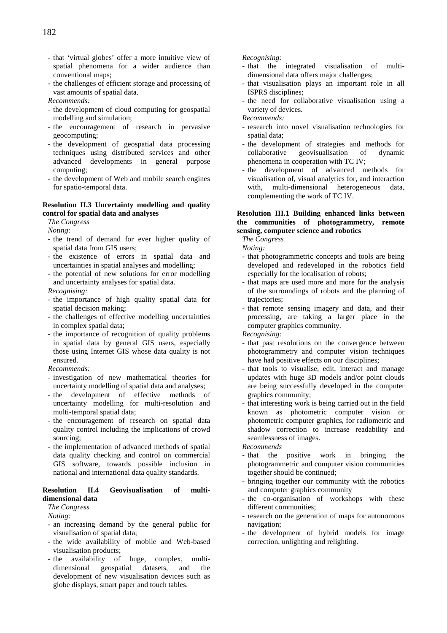- that 'virtual globes' offer a more intuitive view of spatial phenomena for a wider audience than conventional maps;
- the challenges of efficient storage and processing of vast amounts of spatial data.

*Recommends:* 

- the development of cloud computing for geospatial modelling and simulation;
- the encouragement of research in pervasive geocomputing;
- the development of geospatial data processing techniques using distributed services and other advanced developments in general purpose computing;
- the development of Web and mobile search engines for spatio-temporal data.

#### **Resolution II.3 Uncertainty modelling and quality control for spatial data and analyses**

*The Congress* 

*Noting:* 

- the trend of demand for ever higher quality of spatial data from GIS users;
- the existence of errors in spatial data and uncertainties in spatial analyses and modelling;
- the potential of new solutions for error modelling and uncertainty analyses for spatial data.

*Recognising:* 

- the importance of high quality spatial data for spatial decision making;
- the challenges of effective modelling uncertainties in complex spatial data;
- the importance of recognition of quality problems in spatial data by general GIS users, especially those using Internet GIS whose data quality is not ensured.

*Recommends:* 

- investigation of new mathematical theories for uncertainty modelling of spatial data and analyses;
- the development of effective methods of uncertainty modelling for multi-resolution and multi-temporal spatial data;
- the encouragement of research on spatial data quality control including the implications of crowd sourcing;
- the implementation of advanced methods of spatial data quality checking and control on commercial GIS software, towards possible inclusion in national and international data quality standards.

#### **Resolution II.4 Geovisualisation of multidimensional data**

*The Congress* 

*Noting:* 

- an increasing demand by the general public for visualisation of spatial data;
- the wide availability of mobile and Web-based visualisation products;
- the availability of huge, complex, multidimensional geospatial datasets, and the development of new visualisation devices such as globe displays, smart paper and touch tables.

#### *Recognising:*

- that the integrated visualisation of multidimensional data offers major challenges;
- that visualisation plays an important role in all ISPRS disciplines;
- the need for collaborative visualisation using a variety of devices.

*Recommends:* 

- research into novel visualisation technologies for spatial data;
- the development of strategies and methods for collaborative geovisualisation of dynamic phenomena in cooperation with TC IV;
- the development of advanced methods for visualisation of, visual analytics for, and interaction with, multi-dimensional heterogeneous data, complementing the work of TC IV.

#### **Resolution III.1 Building enhanced links between the communities of photogrammetry, remote sensing, computer science and robotics**

*The Congress* 

*Noting:* 

- that photogrammetric concepts and tools are being developed and redeveloped in the robotics field especially for the localisation of robots;
- that maps are used more and more for the analysis of the surroundings of robots and the planning of trajectories;
- that remote sensing imagery and data, and their processing, are taking a larger place in the computer graphics community.

*Recognising:* 

- that past resolutions on the convergence between photogrammetry and computer vision techniques have had positive effects on our disciplines;
- that tools to visualise, edit, interact and manage updates with huge 3D models and/or point clouds are being successfully developed in the computer graphics community;
- that interesting work is being carried out in the field known as photometric computer vision or photometric computer graphics, for radiometric and shadow correction to increase readability and seamlessness of images.

*Recommends* 

- that the positive work in bringing the photogrammetric and computer vision communities together should be continued;
- bringing together our community with the robotics and computer graphics community
- the co-organisation of workshops with these different communities;
- research on the generation of maps for autonomous navigation;
- the development of hybrid models for image correction, unlighting and relighting.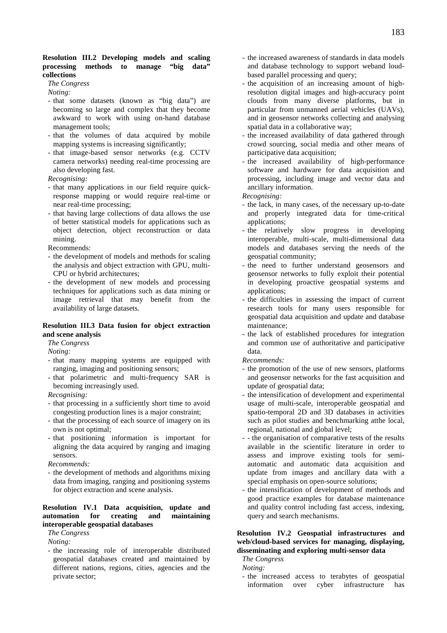#### **Resolution III.2 Developing models and scaling processing methods to manage "big data" collections**

*The Congress* 

*Noting:* 

- that some datasets (known as "big data") are becoming so large and complex that they become awkward to work with using on-hand database management tools;
- that the volumes of data acquired by mobile mapping systems is increasing significantly;
- that image-based sensor networks (e.g. CCTV camera networks) needing real-time processing are also developing fast.

*Recognising:* 

- that many applications in our field require quickresponse mapping or would require real-time or near real-time processing;
- that having large collections of data allows the use of better statistical models for applications such as object detection, object reconstruction or data mining.

Recommends:

- the development of models and methods for scaling the analysis and object extraction with GPU, multi-CPU or hybrid architectures;
- the development of new models and processing techniques for applications such as data mining or image retrieval that may benefit from the availability of large datasets.

#### **Resolution III.3 Data fusion for object extraction and scene analysis**

*The Congress* 

*Noting:*

- that many mapping systems are equipped with ranging, imaging and positioning sensors;
- that polarimetric and multi-frequency SAR is becoming increasingly used.

*Recognising:* 

- that processing in a sufficiently short time to avoid congesting production lines is a major constraint;
- that the processing of each source of imagery on its own is not optimal;
- that positioning information is important for aligning the data acquired by ranging and imaging sensors.
- *Recommends:*
- the development of methods and algorithms mixing data from imaging, ranging and positioning systems for object extraction and scene analysis.

#### **Resolution IV.1 Data acquisition, update and automation for creating and maintaining interoperable geospatial databases**

*The Congress* 

*Noting:* 

- the increasing role of interoperable distributed geospatial databases created and maintained by different nations, regions, cities, agencies and the private sector;

- the increased awareness of standards in data models and database technology to support weband loudbased parallel processing and query;
- the acquisition of an increasing amount of highresolution digital images and high-accuracy point clouds from many diverse platforms, but in particular from unmanned aerial vehicles (UAVs), and in geosensor networks collecting and analysing spatial data in a collaborative way;
- the increased availability of data gathered through crowd sourcing, social media and other means of participative data acquisition;
- the increased availability of high-performance software and hardware for data acquisition and processing, including image and vector data and ancillary information.

*Recognising:* 

- the lack, in many cases, of the necessary up-to-date and properly integrated data for time-critical applications;
- the relatively slow progress in developing interoperable, multi-scale, multi-dimensional data models and databases serving the needs of the geospatial community;
- the need to further understand geosensors and geosensor networks to fully exploit their potential in developing proactive geospatial systems and applications;
- the difficulties in assessing the impact of current research tools for many users responsible for geospatial data acquisition and update and database maintenance;
- the lack of established procedures for integration and common use of authoritative and participative data.

*Recommends:* 

- the promotion of the use of new sensors, platforms and geosensor networks for the fast acquisition and update of geospatial data;
- the intensification of development and experimental usage of multi-scale, interoperable geospatial and spatio-temporal 2D and 3D databases in activities such as pilot studies and benchmarking atthe local, regional, national and global level;
- - the organisation of comparative tests of the results available in the scientific literature in order to assess and improve existing tools for semiautomatic and automatic data acquisition and update from images and ancillary data with a special emphasis on open-source solutions;
- the intensification of development of methods and good practice examples for database maintenance and quality control including fast access, indexing, query and search mechanisms.

#### **Resolution IV.2 Geospatial infrastructures and web/cloud-based services for managing, displaying, disseminating and exploring multi-sensor data**

*The Congress Noting:* 

- the increased access to terabytes of geospatial information over cyber infrastructure has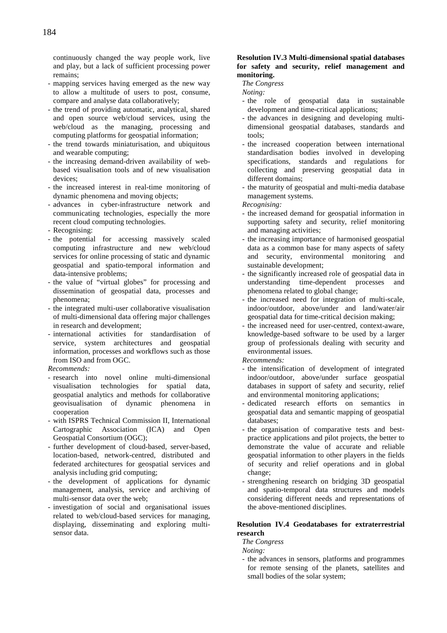continuously changed the way people work, live and play, but a lack of sufficient processing power remains;

- mapping services having emerged as the new way to allow a multitude of users to post, consume, compare and analyse data collaboratively;
- the trend of providing automatic, analytical, shared and open source web/cloud services, using the web/cloud as the managing, processing and computing platforms for geospatial information;
- the trend towards miniaturisation, and ubiquitous and wearable computing;
- the increasing demand-driven availability of webbased visualisation tools and of new visualisation devices;
- the increased interest in real-time monitoring of dynamic phenomena and moving objects;
- advances in cyber-infrastructure network and communicating technologies, especially the more recent cloud computing technologies.
- Recognising:
- the potential for accessing massively scaled computing infrastructure and new web/cloud services for online processing of static and dynamic geospatial and spatio-temporal information and data-intensive problems;
- the value of "virtual globes" for processing and dissemination of geospatial data, processes and phenomena;
- the integrated multi-user collaborative visualisation of multi-dimensional data offering major challenges in research and development;
- international activities for standardisation of service, system architectures and geospatial information, processes and workflows such as those from ISO and from OGC.

#### *Recommends:*

- research into novel online multi-dimensional visualisation technologies for spatial data, geospatial analytics and methods for collaborative geovisualisation of dynamic phenomena in cooperation
- with ISPRS Technical Commission II, International Cartographic Association (ICA) and Open Geospatial Consortium (OGC);
- further development of cloud-based, server-based, location-based, network-centred, distributed and federated architectures for geospatial services and analysis including grid computing;
- the development of applications for dynamic management, analysis, service and archiving of multi-sensor data over the web;
- investigation of social and organisational issues related to web/cloud-based services for managing, displaying, disseminating and exploring multisensor data.

#### **Resolution IV.3 Multi-dimensional spatial databases for safety and security, relief management and monitoring.**

*The Congress* 

*Noting:*

- the role of geospatial data in sustainable development and time-critical applications;
- the advances in designing and developing multidimensional geospatial databases, standards and tools;
- the increased cooperation between international standardisation bodies involved in developing specifications, standards and regulations for collecting and preserving geospatial data in different domains;
- the maturity of geospatial and multi-media database management systems.

*Recognising:* 

- the increased demand for geospatial information in supporting safety and security, relief monitoring and managing activities;
- the increasing importance of harmonised geospatial data as a common base for many aspects of safety and security, environmental monitoring and sustainable development;
- the significantly increased role of geospatial data in understanding time-dependent processes and phenomena related to global change;
- the increased need for integration of multi-scale, indoor/outdoor, above/under and land/water/air geospatial data for time-critical decision making;
- the increased need for user-centred, context-aware, knowledge-based software to be used by a larger group of professionals dealing with security and environmental issues.

#### *Recommends:*

- the intensification of development of integrated indoor/outdoor, above/under surface geospatial databases in support of safety and security, relief and environmental monitoring applications;
- dedicated research efforts on semantics in geospatial data and semantic mapping of geospatial databases;
- the organisation of comparative tests and bestpractice applications and pilot projects, the better to demonstrate the value of accurate and reliable geospatial information to other players in the fields of security and relief operations and in global change;
- strengthening research on bridging 3D geospatial and spatio-temporal data structures and models considering different needs and representations of the above-mentioned disciplines.

#### **Resolution IV.4 Geodatabases for extraterrestrial research**

*The Congress* 

*Noting:* 

- the advances in sensors, platforms and programmes for remote sensing of the planets, satellites and small bodies of the solar system;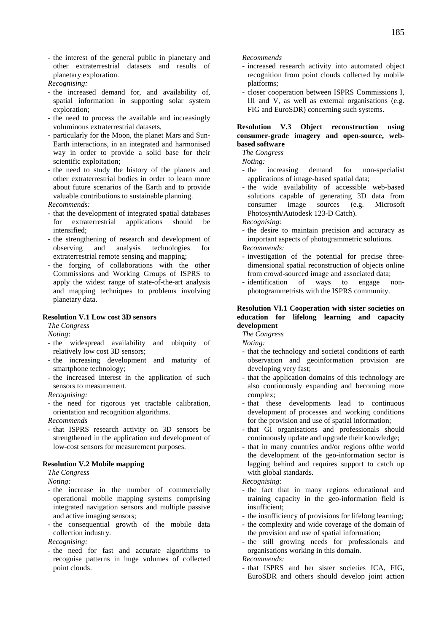- the interest of the general public in planetary and other extraterrestrial datasets and results of planetary exploration.
- *Recognising:*
- the increased demand for, and availability of, spatial information in supporting solar system exploration;
- the need to process the available and increasingly voluminous extraterrestrial datasets,
- particularly for the Moon, the planet Mars and Sun-Earth interactions, in an integrated and harmonised way in order to provide a solid base for their scientific exploitation;
- the need to study the history of the planets and other extraterrestrial bodies in order to learn more about future scenarios of the Earth and to provide valuable contributions to sustainable planning.

#### *Recommends:*

- that the development of integrated spatial databases for extraterrestrial applications should be intensified;
- the strengthening of research and development of observing and analysis technologies for extraterrestrial remote sensing and mapping;
- the forging of collaborations with the other Commissions and Working Groups of ISPRS to apply the widest range of state-of-the-art analysis and mapping techniques to problems involving planetary data.

#### **Resolution V.1 Low cost 3D sensors**

*The Congress* 

*Noting*:

- the widespread availability and ubiquity of relatively low cost 3D sensors;
- the increasing development and maturity of smartphone technology;
- the increased interest in the application of such sensors to measurement.

*Recognising:* 

- the need for rigorous yet tractable calibration, orientation and recognition algorithms.
- *Recommends*
- that ISPRS research activity on 3D sensors be strengthened in the application and development of low-cost sensors for measurement purposes.

#### **Resolution V.2 Mobile mapping**

*The Congress* 

*Noting:* 

- the increase in the number of commercially operational mobile mapping systems comprising integrated navigation sensors and multiple passive and active imaging sensors;
- the consequential growth of the mobile data collection industry.
- *Recognising:*
- the need for fast and accurate algorithms to recognise patterns in huge volumes of collected point clouds.

#### *Recommends*

- increased research activity into automated object recognition from point clouds collected by mobile platforms;
- closer cooperation between ISPRS Commissions I, III and V, as well as external organisations (e.g. FIG and EuroSDR) concerning such systems.

#### **Resolution V.3 Object reconstruction using consumer-grade imagery and open-source, webbased software**

*The Congress* 

*Noting:*

- the increasing demand for non-specialist applications of image-based spatial data;
- the wide availability of accessible web-based solutions capable of generating 3D data from consumer image sources (e.g. Microsoft Photosynth/Autodesk 123-D Catch).

*Recognising:* 

- the desire to maintain precision and accuracy as important aspects of photogrammetric solutions.

*Recommends:* 

- investigation of the potential for precise threedimensional spatial reconstruction of objects online from crowd-sourced image and associated data;
- identification of ways to engage nonphotogrammetrists with the ISPRS community.

#### **Resolution VI.1 Cooperation with sister societies on education for lifelong learning and capacity development**

*The Congress* 

*Noting:* 

- that the technology and societal conditions of earth observation and geoinformation provision are developing very fast;
- that the application domains of this technology are also continuously expanding and becoming more complex;
- that these developments lead to continuous development of processes and working conditions for the provision and use of spatial information;
- that GI organisations and professionals should continuously update and upgrade their knowledge;
- that in many countries and/or regions of the world the development of the geo-information sector is lagging behind and requires support to catch up with global standards.

*Recognising:* 

- the fact that in many regions educational and training capacity in the geo-information field is insufficient;
- the insufficiency of provisions for lifelong learning;
- the complexity and wide coverage of the domain of the provision and use of spatial information;
- the still growing needs for professionals and organisations working in this domain.

*Recommends:* 

- that ISPRS and her sister societies ICA, FIG, EuroSDR and others should develop joint action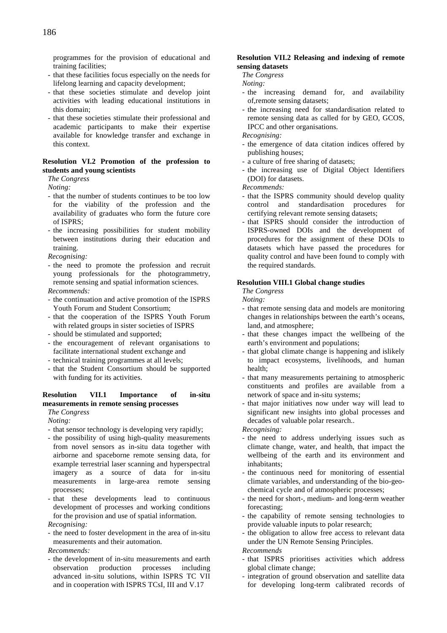programmes for the provision of educational and training facilities;

- that these facilities focus especially on the needs for lifelong learning and capacity development;
- that these societies stimulate and develop joint activities with leading educational institutions in this domain;
- that these societies stimulate their professional and academic participants to make their expertise available for knowledge transfer and exchange in this context.

#### **Resolution VI.2 Promotion of the profession to students and young scientists**

*The Congress* 

*Noting:* 

- that the number of students continues to be too low for the viability of the profession and the availability of graduates who form the future core of ISPRS;
- the increasing possibilities for student mobility between institutions during their education and training.

*Recognising:* 

- the need to promote the profession and recruit young professionals for the photogrammetry, remote sensing and spatial information sciences.

*Recommends:* 

- the continuation and active promotion of the ISPRS Youth Forum and Student Consortium;
- that the cooperation of the ISPRS Youth Forum with related groups in sister societies of ISPRS
- should be stimulated and supported;
- the encouragement of relevant organisations to facilitate international student exchange and
- technical training programmes at all levels;
- that the Student Consortium should be supported with funding for its activities.

#### **Resolution VII.1 Importance of in-situ measurements in remote sensing processes**

*The Congress* 

*Noting:* 

- that sensor technology is developing very rapidly;
- the possibility of using high-quality measurements from novel sensors as in-situ data together with airborne and spaceborne remote sensing data, for example terrestrial laser scanning and hyperspectral imagery as a source of data for in-situ measurements in large-area remote sensing processes;
- that these developments lead to continuous development of processes and working conditions for the provision and use of spatial information.

*Recognising:* 

- the need to foster development in the area of in-situ measurements and their automation.

*Recommends:* 

- the development of in-situ measurements and earth observation production processes including advanced in-situ solutions, within ISPRS TC VII and in cooperation with ISPRS TCsI, III and V.17

#### **Resolution VII.2 Releasing and indexing of remote sensing datasets**

*The Congress* 

*Noting:* 

- the increasing demand for, and availability of,remote sensing datasets;
- the increasing need for standardisation related to remote sensing data as called for by GEO, GCOS, IPCC and other organisations.

*Recognising:* 

- the emergence of data citation indices offered by publishing houses;
- a culture of free sharing of datasets;
- the increasing use of Digital Object Identifiers (DOI) for datasets.

*Recommends:* 

- that the ISPRS community should develop quality control and standardisation procedures for certifying relevant remote sensing datasets;
- that ISPRS should consider the introduction of ISPRS-owned DOIs and the development of procedures for the assignment of these DOIs to datasets which have passed the procedures for quality control and have been found to comply with the required standards.

#### **Resolution VIII.1 Global change studies**

*The Congress* 

*Noting:* 

- that remote sensing data and models are monitoring changes in relationships between the earth's oceans, land, and atmosphere;
- that these changes impact the wellbeing of the earth's environment and populations;
- that global climate change is happening and islikely to impact ecosystems, livelihoods, and human health;
- that many measurements pertaining to atmospheric constituents and profiles are available from a network of space and in-situ systems;
- that major initiatives now under way will lead to significant new insights into global processes and decades of valuable polar research..

*Recognising:* 

- the need to address underlying issues such as climate change, water, and health, that impact the wellbeing of the earth and its environment and inhabitants;
- the continuous need for monitoring of essential climate variables, and understanding of the bio-geochemical cycle and of atmospheric processes;
- the need for short-, medium- and long-term weather forecasting;
- the capability of remote sensing technologies to provide valuable inputs to polar research;
- the obligation to allow free access to relevant data under the UN Remote Sensing Principles.

*Recommends* 

- that ISPRS prioritises activities which address global climate change;
- integration of ground observation and satellite data for developing long-term calibrated records of